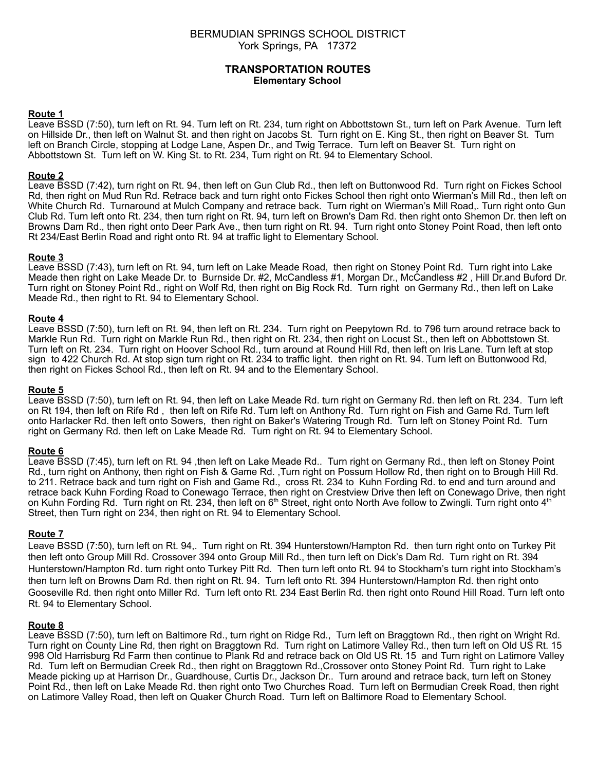# BERMUDIAN SPRINGS SCHOOL DISTRICT York Springs, PA 17372

# **TRANSPORTATION ROUTES Elementary School**

#### **Route 1**

Leave BSSD (7:50), turn left on Rt. 94. Turn left on Rt. 234, turn right on Abbottstown St., turn left on Park Avenue. Turn left on Hillside Dr., then left on Walnut St. and then right on Jacobs St. Turn right on E. King St., then right on Beaver St. Turn left on Branch Circle, stopping at Lodge Lane, Aspen Dr., and Twig Terrace. Turn left on Beaver St. Turn right on Abbottstown St. Turn left on W. King St. to Rt. 234, Turn right on Rt. 94 to Elementary School.

# **Route 2**

Leave BSSD (7:42), turn right on Rt. 94, then left on Gun Club Rd., then left on Buttonwood Rd. Turn right on Fickes School Rd, then right on Mud Run Rd. Retrace back and turn right onto Fickes School then right onto Wierman's Mill Rd., then left on White Church Rd. Turnaround at Mulch Company and retrace back. Turn right on Wierman's Mill Road,. Turn right onto Gun Club Rd. Turn left onto Rt. 234, then turn right on Rt. 94, turn left on Brown's Dam Rd. then right onto Shemon Dr. then left on Browns Dam Rd., then right onto Deer Park Ave., then turn right on Rt. 94. Turn right onto Stoney Point Road, then left onto Rt 234/East Berlin Road and right onto Rt. 94 at traffic light to Elementary School.

# **Route 3**

Leave BSSD (7:43), turn left on Rt. 94, turn left on Lake Meade Road, then right on Stoney Point Rd. Turn right into Lake Meade then right on Lake Meade Dr. to Burnside Dr. #2, McCandless #1, Morgan Dr., McCandless #2 , Hill Dr.and Buford Dr. Turn right on Stoney Point Rd., right on Wolf Rd, then right on Big Rock Rd. Turn right on Germany Rd., then left on Lake Meade Rd., then right to Rt. 94 to Elementary School.

#### **Route 4**

Leave BSSD (7:50), turn left on Rt. 94, then left on Rt. 234. Turn right on Peepytown Rd. to 796 turn around retrace back to Markle Run Rd. Turn right on Markle Run Rd., then right on Rt. 234, then right on Locust St., then left on Abbottstown St. Turn left on Rt. 234. Turn right on Hoover School Rd., turn around at Round Hill Rd, then left on Iris Lane. Turn left at stop sign to 422 Church Rd. At stop sign turn right on Rt. 234 to traffic light. then right on Rt. 94. Turn left on Buttonwood Rd, then right on Fickes School Rd., then left on Rt. 94 and to the Elementary School.

#### **Route 5**

Leave BSSD (7:50), turn left on Rt. 94, then left on Lake Meade Rd. turn right on Germany Rd. then left on Rt. 234. Turn left on Rt 194, then left on Rife Rd , then left on Rife Rd. Turn left on Anthony Rd. Turn right on Fish and Game Rd. Turn left onto Harlacker Rd. then left onto Sowers, then right on Baker's Watering Trough Rd. Turn left on Stoney Point Rd. Turn right on Germany Rd. then left on Lake Meade Rd. Turn right on Rt. 94 to Elementary School.

#### **Route 6**

Leave BSSD (7:45), turn left on Rt. 94 ,then left on Lake Meade Rd.. Turn right on Germany Rd., then left on Stoney Point Rd., turn right on Anthony, then right on Fish & Game Rd., Turn right on Possum Hollow Rd, then right on to Brough Hill Rd. to 211. Retrace back and turn right on Fish and Game Rd., cross Rt. 234 to Kuhn Fording Rd. to end and turn around and retrace back Kuhn Fording Road to Conewago Terrace, then right on Crestview Drive then left on Conewago Drive, then right on Kuhn Fording Rd. Turn right on Rt. 234, then left on 6<sup>th</sup> Street, right onto North Ave follow to Zwingli. Turn right onto 4<sup>th</sup> Street, then Turn right on 234, then right on Rt. 94 to Elementary School.

#### **Route 7**

Leave BSSD (7:50), turn left on Rt. 94,. Turn right on Rt. 394 Hunterstown/Hampton Rd. then turn right onto on Turkey Pit then left onto Group Mill Rd. Crossover 394 onto Group Mill Rd., then turn left on Dick's Dam Rd. Turn right on Rt. 394 Hunterstown/Hampton Rd. turn right onto Turkey Pitt Rd. Then turn left onto Rt. 94 to Stockham's turn right into Stockham's then turn left on Browns Dam Rd. then right on Rt. 94. Turn left onto Rt. 394 Hunterstown/Hampton Rd. then right onto Gooseville Rd. then right onto Miller Rd. Turn left onto Rt. 234 East Berlin Rd. then right onto Round Hill Road. Turn left onto Rt. 94 to Elementary School.

#### **Route 8**

Leave BSSD (7:50), turn left on Baltimore Rd., turn right on Ridge Rd., Turn left on Braggtown Rd., then right on Wright Rd. Turn right on County Line Rd, then right on Braggtown Rd. Turn right on Latimore Valley Rd., then turn left on Old US Rt. 15 998 Old Harrisburg Rd Farm then continue to Plank Rd and retrace back on Old US Rt. 15 and Turn right on Latimore Valley Rd. Turn left on Bermudian Creek Rd., then right on Braggtown Rd.,Crossover onto Stoney Point Rd. Turn right to Lake Meade picking up at Harrison Dr., Guardhouse, Curtis Dr., Jackson Dr.. Turn around and retrace back, turn left on Stoney Point Rd., then left on Lake Meade Rd. then right onto Two Churches Road. Turn left on Bermudian Creek Road, then right on Latimore Valley Road, then left on Quaker Church Road. Turn left on Baltimore Road to Elementary School.